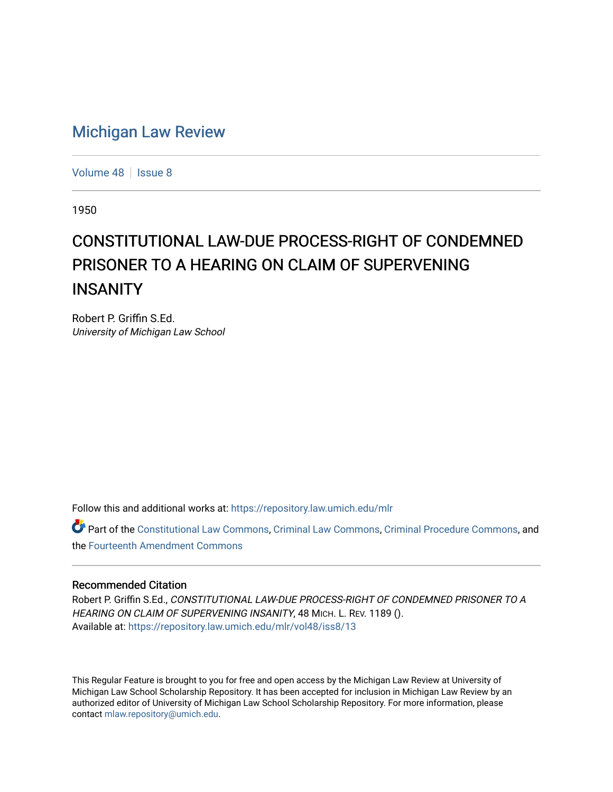## [Michigan Law Review](https://repository.law.umich.edu/mlr)

[Volume 48](https://repository.law.umich.edu/mlr/vol48) | [Issue 8](https://repository.law.umich.edu/mlr/vol48/iss8)

1950

## CONSTITUTIONAL LAW-DUE PROCESS-RIGHT OF CONDEMNED PRISONER TO A HEARING ON CLAIM OF SUPERVENING **INSANITY**

Robert P. Griffin S.Ed. University of Michigan Law School

Follow this and additional works at: [https://repository.law.umich.edu/mlr](https://repository.law.umich.edu/mlr?utm_source=repository.law.umich.edu%2Fmlr%2Fvol48%2Fiss8%2F13&utm_medium=PDF&utm_campaign=PDFCoverPages) 

Part of the [Constitutional Law Commons,](http://network.bepress.com/hgg/discipline/589?utm_source=repository.law.umich.edu%2Fmlr%2Fvol48%2Fiss8%2F13&utm_medium=PDF&utm_campaign=PDFCoverPages) [Criminal Law Commons,](http://network.bepress.com/hgg/discipline/912?utm_source=repository.law.umich.edu%2Fmlr%2Fvol48%2Fiss8%2F13&utm_medium=PDF&utm_campaign=PDFCoverPages) [Criminal Procedure Commons](http://network.bepress.com/hgg/discipline/1073?utm_source=repository.law.umich.edu%2Fmlr%2Fvol48%2Fiss8%2F13&utm_medium=PDF&utm_campaign=PDFCoverPages), and the [Fourteenth Amendment Commons](http://network.bepress.com/hgg/discipline/1116?utm_source=repository.law.umich.edu%2Fmlr%2Fvol48%2Fiss8%2F13&utm_medium=PDF&utm_campaign=PDFCoverPages) 

## Recommended Citation

Robert P. Griffin S.Ed., CONSTITUTIONAL LAW-DUE PROCESS-RIGHT OF CONDEMNED PRISONER TO A HEARING ON CLAIM OF SUPERVENING INSANITY, 48 MICH. L. REV. 1189 (). Available at: [https://repository.law.umich.edu/mlr/vol48/iss8/13](https://repository.law.umich.edu/mlr/vol48/iss8/13?utm_source=repository.law.umich.edu%2Fmlr%2Fvol48%2Fiss8%2F13&utm_medium=PDF&utm_campaign=PDFCoverPages) 

This Regular Feature is brought to you for free and open access by the Michigan Law Review at University of Michigan Law School Scholarship Repository. It has been accepted for inclusion in Michigan Law Review by an authorized editor of University of Michigan Law School Scholarship Repository. For more information, please contact [mlaw.repository@umich.edu](mailto:mlaw.repository@umich.edu).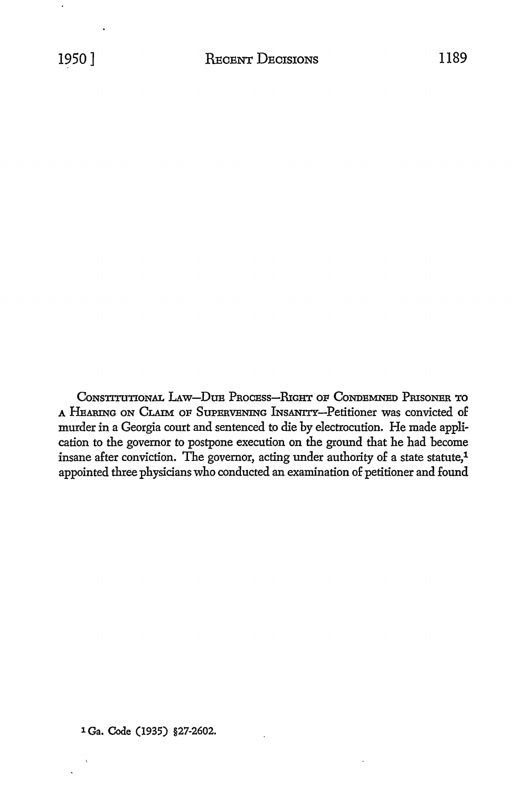CONSTITUTIONAL LAW-DUE PROCESS-RIGHT OF CONDEMNED PRISONER TO A HEARING ON CLAIM OF SUPBRVBNING lNsANITY-Petitioner was convicted of murder in a Georgia court and sentenced to die by electrocution. He made application to the governor to postpone execution on the ground that he had become insane after conviction. The governor, acting under authority of a state statute,1 appointed three physicians who conducted an examination of petitioner and found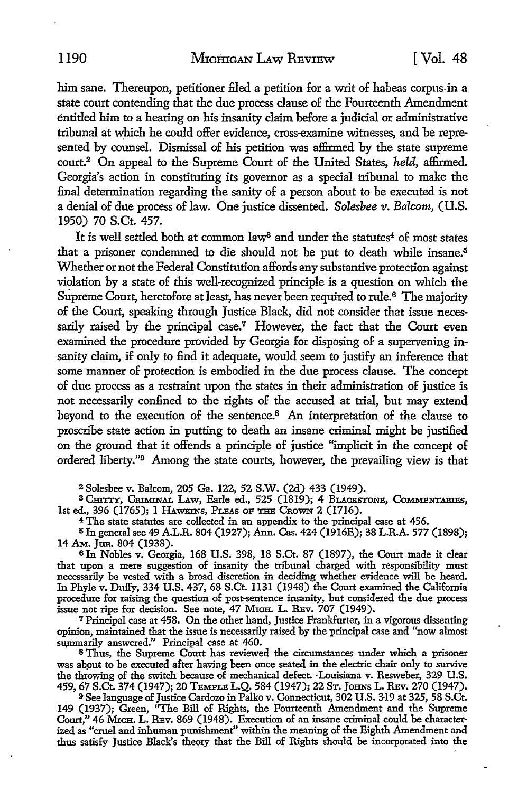him sane. Thereupon, petitioner filed a petition for a writ of habeas corpus-in a state court contending that the due process clause of the Fourteenth Amendment entitled him to a hearing on his insanity claim before a judicial or administrative tribunal at which he could offer evidence, cross-examine witnesses, and be represented by counsel. Dismissal of his petition was affirmed by the state supreme court.<sup>2</sup>On appeal to the Supreme Court of the United States, *held,* affirmed. Georgia's action in constituting its governor as a special tribunal to make the final determination regarding the sanity of a person about to be executed is not a denial of due process of law. One justice dissented. *Solesbee v. Balcom*, (U.S. 1950) 70 S.Ct. 457.

It is well settled both at common law<sup>3</sup> and under the statutes<sup>4</sup> of most states that a prisoner condemned to die should not be put to death while insane.<sup>5</sup> Whether or not the Federal Constitution affords any substantive protection against violation by a state of this well-recognized principle is a question on which the Supreme Court, heretofore at least, has never been required to rule.<sup>6</sup> The majority of the Court, speaking through Justice Black, did not consider that issue necessarily raised by the principal case.<sup>7</sup> However, the fact that the Court even examined the procedure provided by Georgia for disposing of a supervening insanity claim, if only to find it adequate, would seem to justify an inference that some manner of protection is embodied in the due process clause. The concept of due process as a restraint upon the states in their administration of justice is not necessarily confined to the rights of the accused at trial, but may extend beyond to the execution of the sentence.8 An interpretation of the clause to proscribe state action in putting to death an insane criminal might be justified on the ground that it offends a principle of justice "implicit in the concept of ordered liberty."<sup>9</sup> Among the state courts, however, the prevailing view is that

<sup>2</sup>Solesbee v. Balcom, 205 Ga. 122, 52 S.W. (2d) 433 (1949).

<sup>3</sup> CHITTY, CRIMINAL LAW, Earle ed., 525 (1819); 4 BLACKSTONE, COMMENTARIES, 1st ed., 396 (1765); I HAWKINS, PLEAS oF THE CnoWN 2 (1716).

<sup>4</sup>The state statutes are collected in an appendix to the principal case at 456.

5 In general see 49 A.L.R. 804 (1927); Ann. Cas. 424 (1916E); 38 L.R.A. 577 (1898); 14 Am. Jun. 804 (1938).

6 In Nobles v. Georgia, 168 U.S. 398, 18 S.Ct. 87 (1897), the Court made it clear that upon a mere suggestion of insanity the tribunal charged with responsibility must necessarily be vested with a broad discretion in deciding whether evidence will be heard. In Phyle v. Duffy, 334 U.S. 437, 68 S.Ct. 1131 (1948) the Court examined the California procedure for raising the question of post-sentence insanity, but considered the due process issue not ripe for decision. See note, 47 Mich. L. REv. 707 (1949).

<sup>7</sup>Principal case at 458. On the other hand, Justice Frankfurter, in a vigorous dissenting opinion, maintained that the issue is necessarily raised by the principal case and "now almost summarily answered." Principal case at 460.

<sup>8</sup>Thus, the Supreme Court has reviewed the circumstances under which a prisoner was about to be executed after having been once seated in the electric chair only to survive the throwing of the switch because of mechanical defect. Louisiana v. Resweber, 329 U.S. 459, 67 S.Ct. 374 (1947); 20 Temple L.Q. 584 (1947); 22 St. Johns L. Rev. 270 (1947).

<sup>9</sup>See language of Justice Cardozo in Palko v. Connecticut, 302 U.S. 3-19 at 325, 58 S.Ct. 149 (1937); Green, ''The Bill of Rights, the Fourteenth Amendment and the Supreme Court," 46 Mich. L. REv. 869 (1948). Execution of an insane criminal could be characterized as "cruel and inhuman punishment" within the meaning of the Eighth Amendment and thus satisfy Justice Black's theory that the Bill of Rights should be incorporated into the